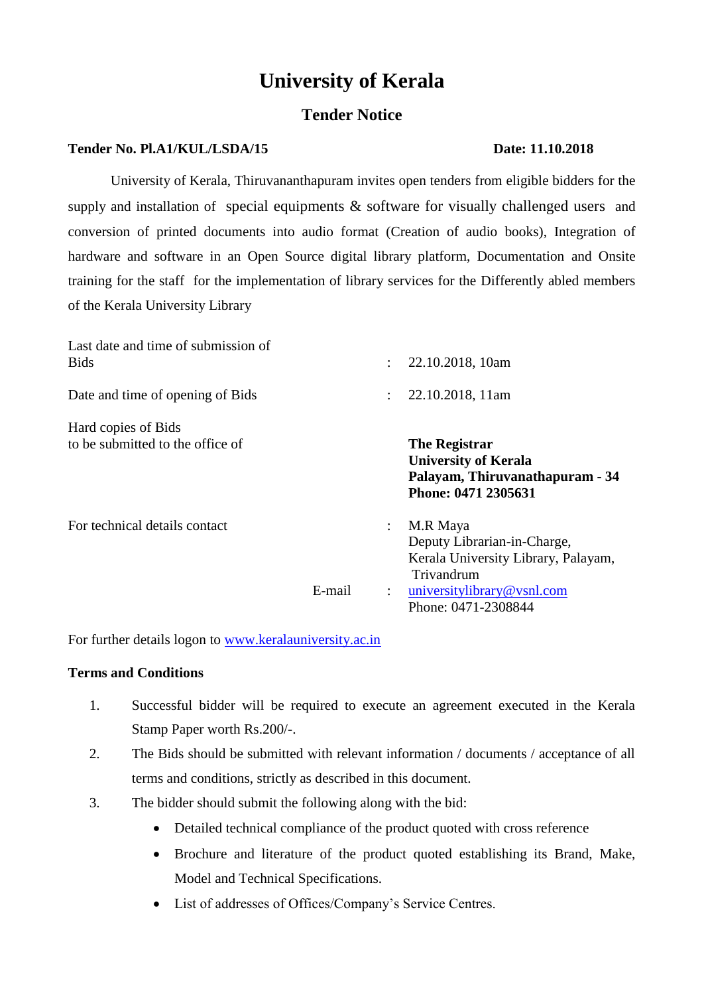# **University of Kerala**

# **Tender Notice**

# **Tender No. Pl.A1/KUL/LSDA/15 Date: 11.10.2018**

# University of Kerala, Thiruvananthapuram invites open tenders from eligible bidders for the supply and installation of special equipments & software for visually challenged users and conversion of printed documents into audio format (Creation of audio books), Integration of hardware and software in an Open Source digital library platform, Documentation and Onsite training for the staff for the implementation of library services for the Differently abled members of the Kerala University Library

| Last date and time of submission of<br><b>Bids</b>      |        | $\mathcal{L}$             | 22.10.2018, 10am                                                                                                                                  |
|---------------------------------------------------------|--------|---------------------------|---------------------------------------------------------------------------------------------------------------------------------------------------|
| Date and time of opening of Bids                        |        | ÷                         | 22.10.2018, 11am                                                                                                                                  |
| Hard copies of Bids<br>to be submitted to the office of |        |                           | <b>The Registrar</b><br><b>University of Kerala</b><br>Palayam, Thiruvanathapuram - 34<br>Phone: 0471 2305631                                     |
| For technical details contact                           | E-mail | ÷<br>$\ddot{\phantom{a}}$ | M.R Maya<br>Deputy Librarian-in-Charge,<br>Kerala University Library, Palayam,<br>Trivandrum<br>universitylibrary@vsnl.com<br>Phone: 0471-2308844 |

For further details logon to [www.keralauniversity.ac.in](http://www.keralauniversity.ac.in/)

# **Terms and Conditions**

- 1. Successful bidder will be required to execute an agreement executed in the Kerala Stamp Paper worth Rs.200/-.
- 2. The Bids should be submitted with relevant information / documents / acceptance of all terms and conditions, strictly as described in this document.
- 3. The bidder should submit the following along with the bid:
	- Detailed technical compliance of the product quoted with cross reference
	- Brochure and literature of the product quoted establishing its Brand, Make, Model and Technical Specifications.
	- List of addresses of Offices/Company's Service Centres.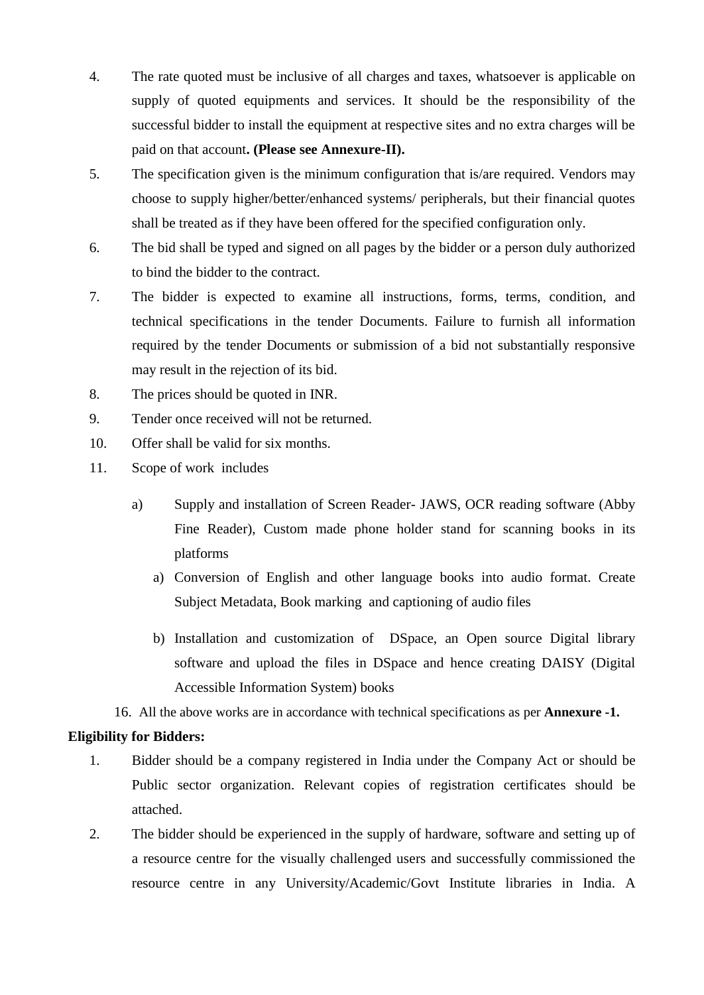- 4. The rate quoted must be inclusive of all charges and taxes, whatsoever is applicable on supply of quoted equipments and services. It should be the responsibility of the successful bidder to install the equipment at respective sites and no extra charges will be paid on that account**. (Please see Annexure-II).**
- 5. The specification given is the minimum configuration that is/are required. Vendors may choose to supply higher/better/enhanced systems/ peripherals, but their financial quotes shall be treated as if they have been offered for the specified configuration only.
- 6. The bid shall be typed and signed on all pages by the bidder or a person duly authorized to bind the bidder to the contract.
- 7. The bidder is expected to examine all instructions, forms, terms, condition, and technical specifications in the tender Documents. Failure to furnish all information required by the tender Documents or submission of a bid not substantially responsive may result in the rejection of its bid.
- 8. The prices should be quoted in INR.
- 9. Tender once received will not be returned.
- 10. Offer shall be valid for six months.
- 11. Scope of work includes
	- a) Supply and installation of Screen Reader- JAWS, OCR reading software (Abby Fine Reader), Custom made phone holder stand for scanning books in its platforms
		- a) Conversion of English and other language books into audio format. Create Subject Metadata, Book marking and captioning of audio files
		- b) Installation and customization of DSpace, an Open source Digital library software and upload the files in DSpace and hence creating DAISY (Digital Accessible Information System) books
	- 16. All the above works are in accordance with technical specifications as per **Annexure -1.**

#### **Eligibility for Bidders:**

- 1. Bidder should be a company registered in India under the Company Act or should be Public sector organization. Relevant copies of registration certificates should be attached.
- 2. The bidder should be experienced in the supply of hardware, software and setting up of a resource centre for the visually challenged users and successfully commissioned the resource centre in any University/Academic/Govt Institute libraries in India. A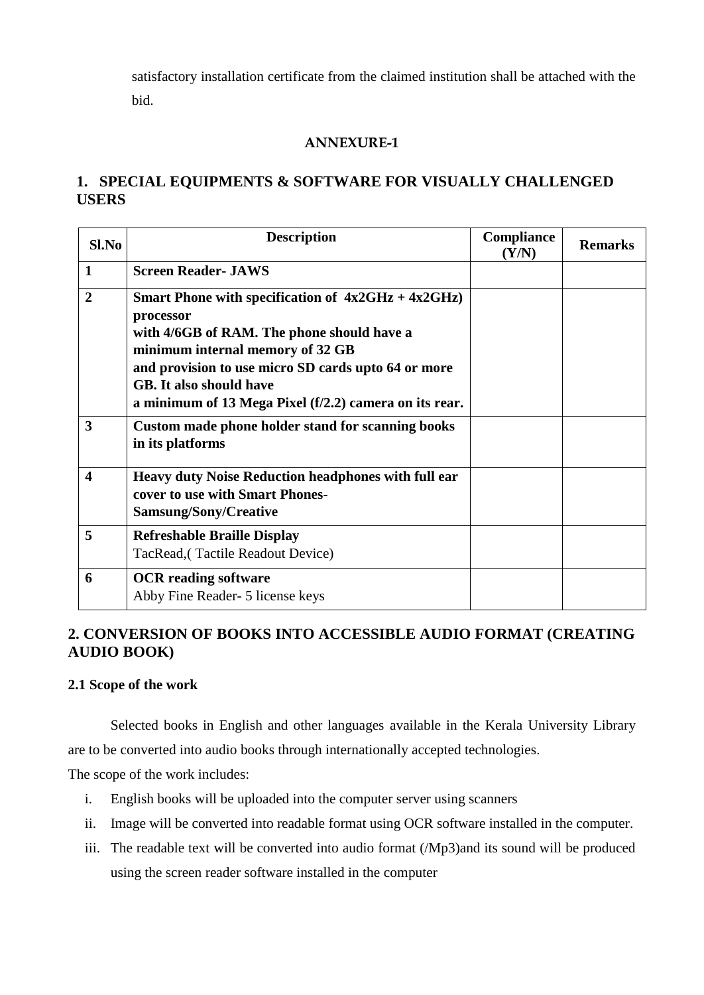satisfactory installation certificate from the claimed institution shall be attached with the bid.

## **ANNEXURE-1**

# **1. SPECIAL EQUIPMENTS & SOFTWARE FOR VISUALLY CHALLENGED USERS**

| Sl.No                   | <b>Description</b>                                                                                                                                                                                                                                                                                      | Compliance<br>(Y/N) | <b>Remarks</b> |
|-------------------------|---------------------------------------------------------------------------------------------------------------------------------------------------------------------------------------------------------------------------------------------------------------------------------------------------------|---------------------|----------------|
| $\mathbf{1}$            | <b>Screen Reader- JAWS</b>                                                                                                                                                                                                                                                                              |                     |                |
| $\overline{2}$          | Smart Phone with specification of $4x2GHz + 4x2GHz$ )<br>processor<br>with 4/6GB of RAM. The phone should have a<br>minimum internal memory of 32 GB<br>and provision to use micro SD cards upto 64 or more<br><b>GB.</b> It also should have<br>a minimum of 13 Mega Pixel (f/2.2) camera on its rear. |                     |                |
| 3                       | Custom made phone holder stand for scanning books<br>in its platforms                                                                                                                                                                                                                                   |                     |                |
| $\overline{\mathbf{4}}$ | Heavy duty Noise Reduction headphones with full ear<br>cover to use with Smart Phones-<br>Samsung/Sony/Creative                                                                                                                                                                                         |                     |                |
| 5                       | <b>Refreshable Braille Display</b><br>TacRead, (Tactile Readout Device)                                                                                                                                                                                                                                 |                     |                |
| 6                       | <b>OCR</b> reading software<br>Abby Fine Reader- 5 license keys                                                                                                                                                                                                                                         |                     |                |

# **2. CONVERSION OF BOOKS INTO ACCESSIBLE AUDIO FORMAT (CREATING AUDIO BOOK)**

## **2.1 Scope of the work**

Selected books in English and other languages available in the Kerala University Library are to be converted into audio books through internationally accepted technologies.

The scope of the work includes:

- i. English books will be uploaded into the computer server using scanners
- ii. Image will be converted into readable format using OCR software installed in the computer.
- iii. The readable text will be converted into audio format (/Mp3)and its sound will be produced using the screen reader software installed in the computer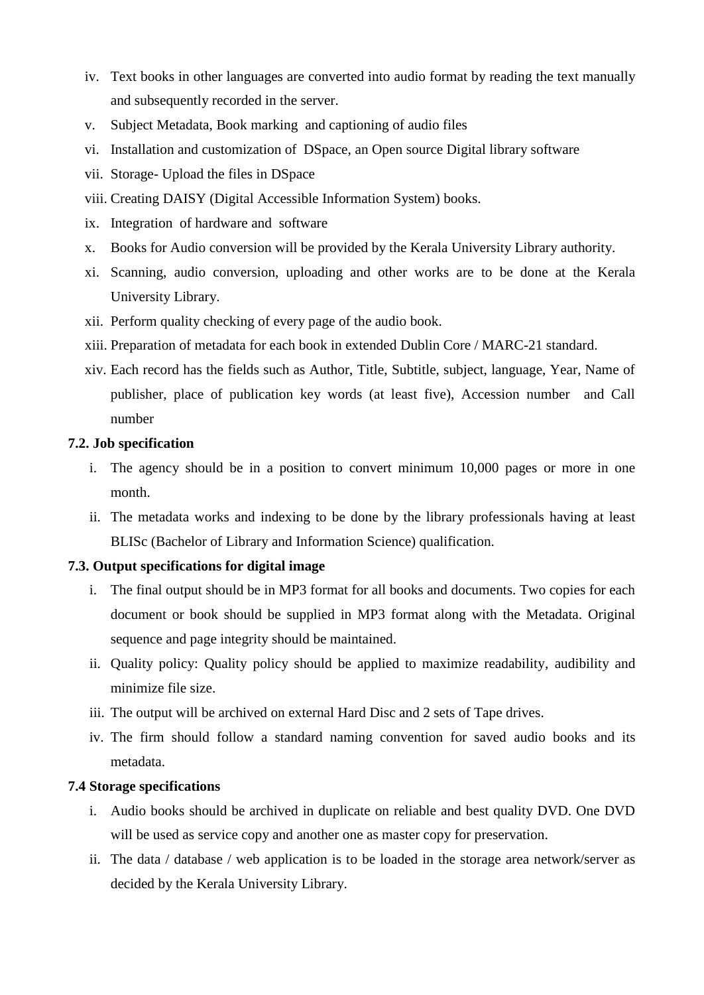- iv. Text books in other languages are converted into audio format by reading the text manually and subsequently recorded in the server.
- v. Subject Metadata, Book marking and captioning of audio files
- vi. Installation and customization of DSpace, an Open source Digital library software
- vii. Storage- Upload the files in DSpace
- viii. Creating DAISY (Digital Accessible Information System) books.
- ix. Integration of hardware and software
- x. Books for Audio conversion will be provided by the Kerala University Library authority.
- xi. Scanning, audio conversion, uploading and other works are to be done at the Kerala University Library.
- xii. Perform quality checking of every page of the audio book.
- xiii. Preparation of metadata for each book in extended Dublin Core / MARC-21 standard.
- xiv. Each record has the fields such as Author, Title, Subtitle, subject, language, Year, Name of publisher, place of publication key words (at least five), Accession number and Call number

#### **7.2. Job specification**

- i. The agency should be in a position to convert minimum 10,000 pages or more in one month.
- ii. The metadata works and indexing to be done by the library professionals having at least BLISc (Bachelor of Library and Information Science) qualification.

### **7.3. Output specifications for digital image**

- i. The final output should be in MP3 format for all books and documents. Two copies for each document or book should be supplied in MP3 format along with the Metadata. Original sequence and page integrity should be maintained.
- ii. Quality policy: Quality policy should be applied to maximize readability, audibility and minimize file size.
- iii. The output will be archived on external Hard Disc and 2 sets of Tape drives.
- iv. The firm should follow a standard naming convention for saved audio books and its metadata.

#### **7.4 Storage specifications**

- i. Audio books should be archived in duplicate on reliable and best quality DVD. One DVD will be used as service copy and another one as master copy for preservation.
- ii. The data / database / web application is to be loaded in the storage area network/server as decided by the Kerala University Library.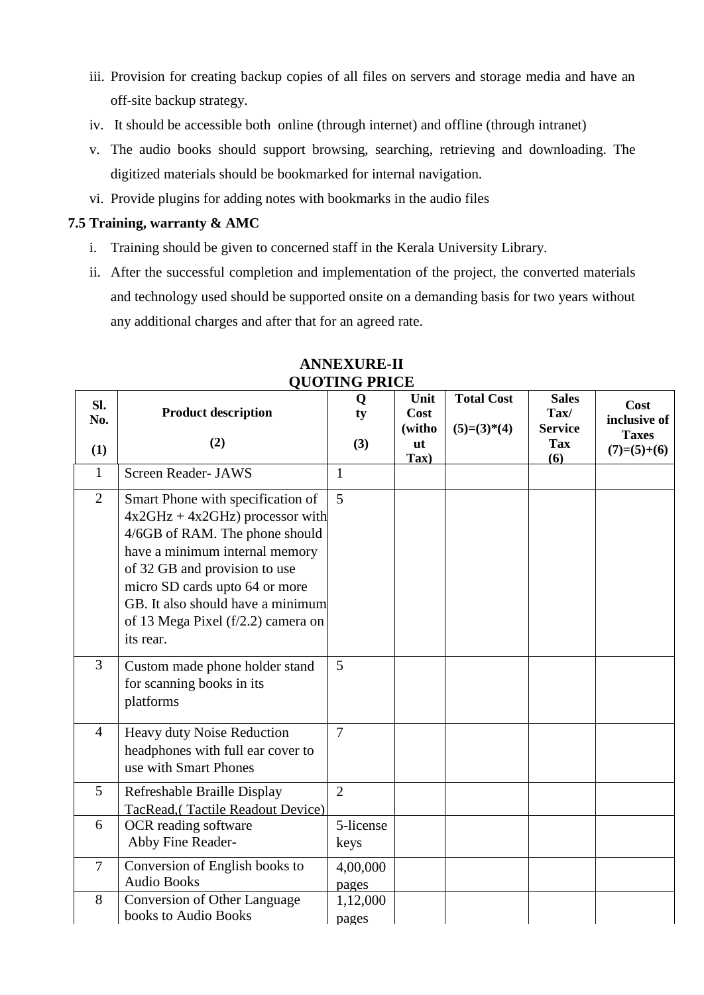- iii. Provision for creating backup copies of all files on servers and storage media and have an off-site backup strategy.
- iv. It should be accessible both online (through internet) and offline (through intranet)
- v. The audio books should support browsing, searching, retrieving and downloading. The digitized materials should be bookmarked for internal navigation.
- vi. Provide plugins for adding notes with bookmarks in the audio files

# **7.5 Training, warranty & AMC**

- i. Training should be given to concerned staff in the Kerala University Library.
- ii. After the successful completion and implementation of the project, the converted materials and technology used should be supported onsite on a demanding basis for two years without any additional charges and after that for an agreed rate.

|                   |                                                                                                                                                                                                                                                                                                        | zoo ini o inici   |                                                |                                    |                                                             |                                                       |
|-------------------|--------------------------------------------------------------------------------------------------------------------------------------------------------------------------------------------------------------------------------------------------------------------------------------------------------|-------------------|------------------------------------------------|------------------------------------|-------------------------------------------------------------|-------------------------------------------------------|
| SI.<br>No.<br>(1) | <b>Product description</b><br>(2)                                                                                                                                                                                                                                                                      | Q<br>ty<br>(3)    | Unit<br>Cost<br>(witho<br>ut<br>$\mathbf{Tax}$ | <b>Total Cost</b><br>$(5)=(3)*(4)$ | <b>Sales</b><br>Tax/<br><b>Service</b><br><b>Tax</b><br>(6) | Cost<br>inclusive of<br><b>Taxes</b><br>$(7)=(5)+(6)$ |
| $\mathbf{1}$      | <b>Screen Reader- JAWS</b>                                                                                                                                                                                                                                                                             | 1                 |                                                |                                    |                                                             |                                                       |
| $\overline{2}$    | Smart Phone with specification of<br>$4x2GHz + 4x2GHz$ ) processor with<br>4/6GB of RAM. The phone should<br>have a minimum internal memory<br>of 32 GB and provision to use<br>micro SD cards upto 64 or more<br>GB. It also should have a minimum<br>of 13 Mega Pixel (f/2.2) camera on<br>its rear. | 5                 |                                                |                                    |                                                             |                                                       |
| 3                 | Custom made phone holder stand<br>for scanning books in its<br>platforms                                                                                                                                                                                                                               | 5                 |                                                |                                    |                                                             |                                                       |
| $\overline{4}$    | Heavy duty Noise Reduction<br>headphones with full ear cover to<br>use with Smart Phones                                                                                                                                                                                                               | $\overline{7}$    |                                                |                                    |                                                             |                                                       |
| 5                 | Refreshable Braille Display<br>TacRead, (Tactile Readout Device)                                                                                                                                                                                                                                       | $\overline{2}$    |                                                |                                    |                                                             |                                                       |
| 6                 | OCR reading software<br>Abby Fine Reader-                                                                                                                                                                                                                                                              | 5-license<br>keys |                                                |                                    |                                                             |                                                       |
| $\tau$            | Conversion of English books to<br><b>Audio Books</b>                                                                                                                                                                                                                                                   | 4,00,000<br>pages |                                                |                                    |                                                             |                                                       |
| 8                 | Conversion of Other Language<br>books to Audio Books                                                                                                                                                                                                                                                   | 1,12,000<br>pages |                                                |                                    |                                                             |                                                       |

# **ANNEXURE-II QUOTING PRICE**